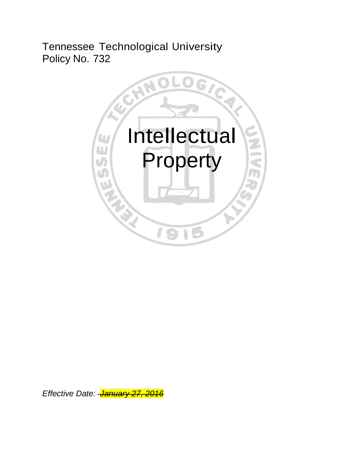Tennessee Technological University Policy No. 732



*Effective Date: January 27, 2016*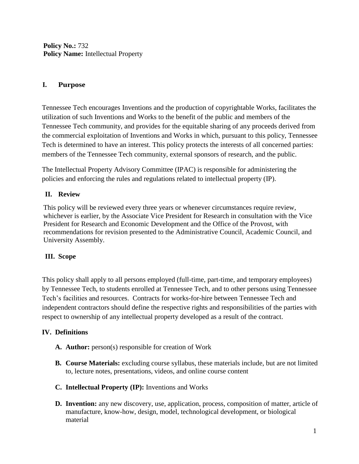**Policy No.:** 732 **Policy Name:** Intellectual Property

### **I. Purpose**

Tennessee Tech encourages Inventions and the production of copyrightable Works, facilitates the utilization of such Inventions and Works to the benefit of the public and members of the Tennessee Tech community, and provides for the equitable sharing of any proceeds derived from the commercial exploitation of Inventions and Works in which, pursuant to this policy, Tennessee Tech is determined to have an interest. This policy protects the interests of all concerned parties: members of the Tennessee Tech community, external sponsors of research, and the public.

The Intellectual Property Advisory Committee (IPAC) is responsible for administering the policies and enforcing the rules and regulations related to intellectual property (IP).

# **II. Review**

This policy will be reviewed every three years or whenever circumstances require review, whichever is earlier, by the Associate Vice President for Research in consultation with the Vice President for Research and Economic Development and the Office of the Provost, with recommendations for revision presented to the Administrative Council, Academic Council, and University Assembly.

# **III. Scope**

This policy shall apply to all persons employed (full-time, part-time, and temporary employees) by Tennessee Tech, to students enrolled at Tennessee Tech, and to other persons using Tennessee Tech's facilities and resources. Contracts for works-for-hire between Tennessee Tech and independent contractors should define the respective rights and responsibilities of the parties with respect to ownership of any intellectual property developed as a result of the contract.

# **IV. Definitions**

- **A. Author:** person(s) responsible for creation of Work
- **B. Course Materials:** excluding course syllabus, these materials include, but are not limited to, lecture notes, presentations, videos, and online course content
- **C. Intellectual Property (IP):** Inventions and Works
- **D. Invention:** any new discovery, use, application, process, composition of matter, article of manufacture, know-how, design, model, technological development, or biological material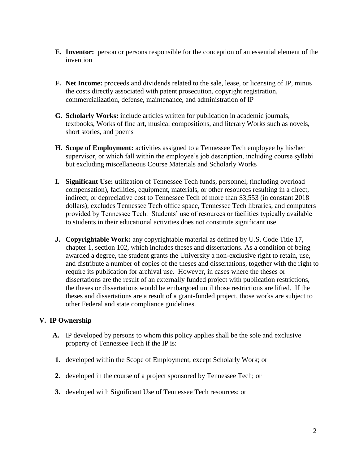- **E. Inventor:** person or persons responsible for the conception of an essential element of the invention
- **F. Net Income:** proceeds and dividends related to the sale, lease, or licensing of IP, minus the costs directly associated with patent prosecution, copyright registration, commercialization, defense, maintenance, and administration of IP
- **G. Scholarly Works:** include articles written for publication in academic journals, textbooks, Works of fine art, musical compositions, and literary Works such as novels, short stories, and poems
- **H. Scope of Employment:** activities assigned to a Tennessee Tech employee by his/her supervisor, or which fall within the employee's job description, including course syllabi but excluding miscellaneous Course Materials and Scholarly Works
- **I. Significant Use:** utilization of Tennessee Tech funds, personnel, (including overload compensation), facilities, equipment, materials, or other resources resulting in a direct, indirect, or depreciative cost to Tennessee Tech of more than \$3,553 (in constant 2018 dollars); excludes Tennessee Tech office space, Tennessee Tech libraries, and computers provided by Tennessee Tech. Students' use of resources or facilities typically available to students in their educational activities does not constitute significant use.
- **J. Copyrightable Work:** any copyrightable material as defined by U.S. Code Title 17, chapter 1, section 102, which includes theses and dissertations. As a condition of being awarded a degree, the student grants the University a non-exclusive right to retain, use, and distribute a number of copies of the theses and dissertations, together with the right to require its publication for archival use. However, in cases where the theses or dissertations are the result of an externally funded project with publication restrictions, the theses or dissertations would be embargoed until those restrictions are lifted. If the theses and dissertations are a result of a grant-funded project, those works are subject to other Federal and state compliance guidelines.

#### **V. IP Ownership**

- **A.** IP developed by persons to whom this policy applies shall be the sole and exclusive property of Tennessee Tech if the IP is:
- **1.** developed within the Scope of Employment, except Scholarly Work; or
- **2.** developed in the course of a project sponsored by Tennessee Tech; or
- **3.** developed with Significant Use of Tennessee Tech resources; or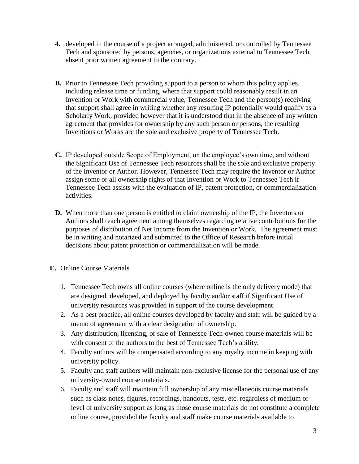- **4.** developed in the course of a project arranged, administered, or controlled by Tennessee Tech and sponsored by persons, agencies, or organizations external to Tennessee Tech, absent prior written agreement to the contrary.
- **B.** Prior to Tennessee Tech providing support to a person to whom this policy applies, including release time or funding, where that support could reasonably result in an Invention or Work with commercial value, Tennessee Tech and the person(s) receiving that support shall agree in writing whether any resulting IP potentially would qualify as a Scholarly Work, provided however that it is understood that in the absence of any written agreement that provides for ownership by any such person or persons, the resulting Inventions or Works are the sole and exclusive property of Tennessee Tech.
- **C.** IP developed outside Scope of Employment, on the employee's own time, and without the Significant Use of Tennessee Tech resources shall be the sole and exclusive property of the Inventor or Author. However, Tennessee Tech may require the Inventor or Author assign some or all ownership rights of that Invention or Work to Tennessee Tech if Tennessee Tech assists with the evaluation of IP, patent protection, or commercialization activities.
- **D.** When more than one person is entitled to claim ownership of the IP, the Inventors or Authors shall reach agreement among themselves regarding relative contributions for the purposes of distribution of Net Income from the Invention or Work. The agreement must be in writing and notarized and submitted to the Office of Research before initial decisions about patent protection or commercialization will be made.
- **E.** Online Course Materials
	- 1. Tennessee Tech owns all online courses (where online is the only delivery mode) that are designed, developed, and deployed by faculty and/or staff if Significant Use of university resources was provided in support of the course development.
	- 2. As a best practice, all online courses developed by faculty and staff will be guided by a memo of agreement with a clear designation of ownership.
	- 3. Any distribution, licensing, or sale of Tennessee Tech-owned course materials will be with consent of the authors to the best of Tennessee Tech's ability.
	- 4. Faculty authors will be compensated according to any royalty income in keeping with university policy.
	- 5. Faculty and staff authors will maintain non-exclusive license for the personal use of any university-owned course materials.
	- 6. Faculty and staff will maintain full ownership of any miscellaneous course materials such as class notes, figures, recordings, handouts, tests, etc. regardless of medium or level of university support as long as those course materials do not constitute a complete online course, provided the faculty and staff make course materials available to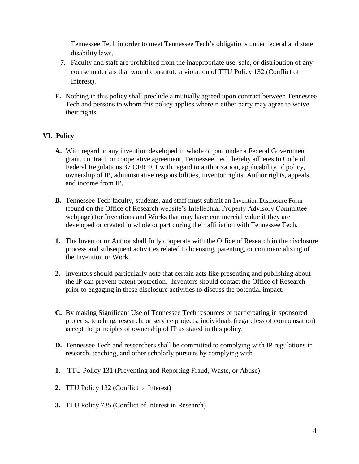Tennessee Tech in order to meet Tennessee Tech's obligations under federal and state disability laws.

- 7. Faculty and staff are prohibited from the inappropriate use, sale, or distribution of any course materials that would constitute a violation of TTU Policy 132 (Conflict of Interest).
- **F.** Nothing in this policy shall preclude a mutually agreed upon contract between Tennessee Tech and persons to whom this policy applies wherein either party may agree to waive their rights.

#### **VI. Policy**

- **A.** With regard to any invention developed in whole or part under a Federal Government grant, contract, or cooperative agreement, Tennessee Tech hereby adheres to Code of Federal Regulations 37 CFR 401 with regard to authorization, applicability of policy, ownership of IP, administrative responsibilities, Inventor rights, Author rights, appeals, and income from IP.
- **B.** Tennessee Tech faculty, students, and staff must submit an Invention Disclosure Form (found on the Office of Research website's Intellectual Property Advisory Committee webpage) for Inventions and Works that may have commercial value if they are developed or created in whole or part during their affiliation with Tennessee Tech.
- **1.** The Inventor or Author shall fully cooperate with the Office of Research in the disclosure process and subsequent activities related to licensing, patenting, or commercializing of the Invention or Work.
- **2.** Inventors should particularly note that certain acts like presenting and publishing about the IP can prevent patent protection. Inventors should contact the Office of Research prior to engaging in these disclosure activities to discuss the potential impact.
- **C.** By making Significant Use of Tennessee Tech resources or participating in sponsored projects, teaching, research, or service projects, individuals (regardless of compensation) accept the principles of ownership of IP as stated in this policy.
- **D.** Tennessee Tech and researchers shall be committed to complying with IP regulations in research, teaching, and other scholarly pursuits by complying with
- **1.** TTU Policy 131 (Preventing and Reporting Fraud, Waste, or Abuse)
- **2.** TTU Policy 132 (Conflict of Interest)
- **3.** TTU Policy 735 (Conflict of Interest in Research)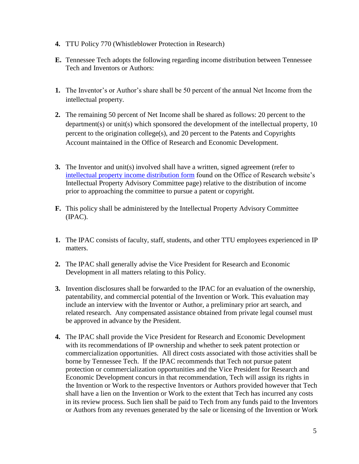- **4.** TTU Policy 770 (Whistleblower Protection in Research)
- **E.** Tennessee Tech adopts the following regarding income distribution between Tennessee Tech and Inventors or Authors:
- **1.** The Inventor's or Author's share shall be 50 percent of the annual Net Income from the intellectual property.
- **2.** The remaining 50 percent of Net Income shall be shared as follows: 20 percent to the department(s) or unit(s) which sponsored the development of the intellectual property, 10 percent to the origination college(s), and 20 percent to the Patents and Copyrights Account maintained in the Office of Research and Economic Development.
- **3.** The Inventor and unit(s) involved shall have a written, signed agreement (refer to intellectual property income distribution form found on the Office of Research website's Intellectual Property Advisory Committee page) relative to the distribution of income prior to approaching the committee to pursue a patent or copyright.
- **F.** This policy shall be administered by the Intellectual Property Advisory Committee (IPAC).
- **1.** The IPAC consists of faculty, staff, students, and other TTU employees experienced in IP matters.
- **2.** The IPAC shall generally advise the Vice President for Research and Economic Development in all matters relating to this Policy.
- **3.** Invention disclosures shall be forwarded to the IPAC for an evaluation of the ownership, patentability, and commercial potential of the Invention or Work. This evaluation may include an interview with the Inventor or Author, a preliminary prior art search, and related research. Any compensated assistance obtained from private legal counsel must be approved in advance by the President.
- **4.** The IPAC shall provide the Vice President for Research and Economic Development with its recommendations of IP ownership and whether to seek patent protection or commercialization opportunities. All direct costs associated with those activities shall be borne by Tennessee Tech. If the IPAC recommends that Tech not pursue patent protection or commercialization opportunities and the Vice President for Research and Economic Development concurs in that recommendation, Tech will assign its rights in the Invention or Work to the respective Inventors or Authors provided however that Tech shall have a lien on the Invention or Work to the extent that Tech has incurred any costs in its review process. Such lien shall be paid to Tech from any funds paid to the Inventors or Authors from any revenues generated by the sale or licensing of the Invention or Work